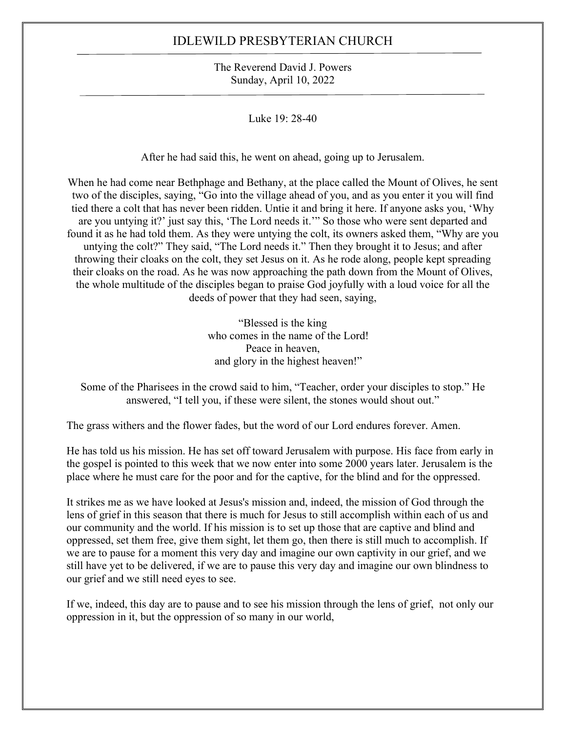The Reverend David J. Powers Sunday, April 10, 2022

Luke 19: 28-40

After he had said this, he went on ahead, going up to Jerusalem.

When he had come near Bethphage and Bethany, at the place called the Mount of Olives, he sent two of the disciples, saying, "Go into the village ahead of you, and as you enter it you will find tied there a colt that has never been ridden. Untie it and bring it here. If anyone asks you, 'Why are you untying it?' just say this, 'The Lord needs it.'" So those who were sent departed and found it as he had told them. As they were untying the colt, its owners asked them, "Why are you untying the colt?" They said, "The Lord needs it." Then they brought it to Jesus; and after throwing their cloaks on the colt, they set Jesus on it. As he rode along, people kept spreading their cloaks on the road. As he was now approaching the path down from the Mount of Olives, the whole multitude of the disciples began to praise God joyfully with a loud voice for all the deeds of power that they had seen, saying,

> "Blessed is the king who comes in the name of the Lord! Peace in heaven, and glory in the highest heaven!"

Some of the Pharisees in the crowd said to him, "Teacher, order your disciples to stop." He answered, "I tell you, if these were silent, the stones would shout out."

The grass withers and the flower fades, but the word of our Lord endures forever. Amen.

He has told us his mission. He has set off toward Jerusalem with purpose. His face from early in the gospel is pointed to this week that we now enter into some 2000 years later. Jerusalem is the place where he must care for the poor and for the captive, for the blind and for the oppressed.

It strikes me as we have looked at Jesus's mission and, indeed, the mission of God through the lens of grief in this season that there is much for Jesus to still accomplish within each of us and our community and the world. If his mission is to set up those that are captive and blind and oppressed, set them free, give them sight, let them go, then there is still much to accomplish. If we are to pause for a moment this very day and imagine our own captivity in our grief, and we still have yet to be delivered, if we are to pause this very day and imagine our own blindness to our grief and we still need eyes to see.

If we, indeed, this day are to pause and to see his mission through the lens of grief, not only our oppression in it, but the oppression of so many in our world,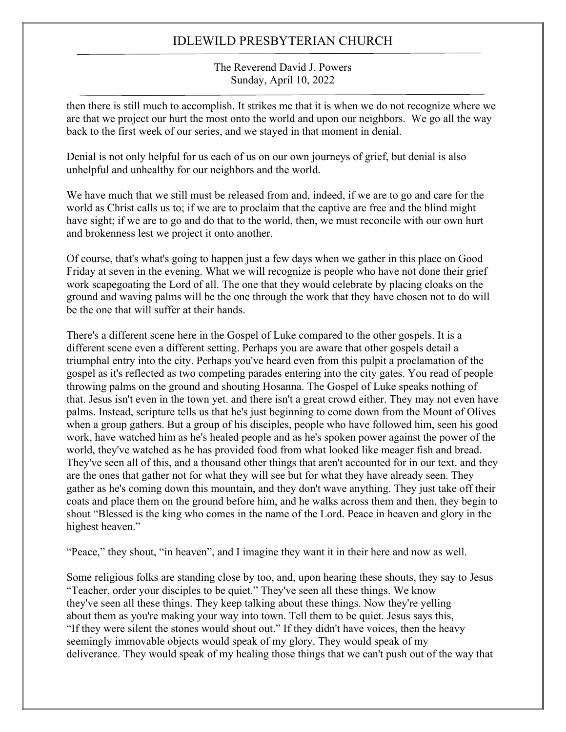The Reverend David J. Powers Sunday, April 10, 2022

then there is still much to accomplish. It strikes me that it is when we do not recognize where we are that we project our hurt the most onto the world and upon our neighbors. We go all the way back to the first week of our series, and we stayed in that moment in denial.

Denial is not only helpful for us each of us on our own journeys of grief, but denial is also unhelpful and unhealthy for our neighbors and the world.

We have much that we still must be released from and, indeed, if we are to go and care for the world as Christ calls us to; if we are to proclaim that the captive are free and the blind might have sight; if we are to go and do that to the world, then, we must reconcile with our own hurt and brokenness lest we project it onto another.

Of course, that's what's going to happen just a few days when we gather in this place on Good Friday at seven in the evening. What we will recognize is people who have not done their grief work scapegoating the Lord of all. The one that they would celebrate by placing cloaks on the ground and waving palms will be the one through the work that they have chosen not to do will be the one that will suffer at their hands.

There's a different scene here in the Gospel of Luke compared to the other gospels. It is a different scene even a different setting. Perhaps you are aware that other gospels detail a triumphal entry into the city. Perhaps you've heard even from this pulpit a proclamation of the gospel as it's reflected as two competing parades entering into the city gates. You read of people throwing palms on the ground and shouting Hosanna. The Gospel of Luke speaks nothing of that. Jesus isn't even in the town yet. and there isn't a great crowd either. They may not even have palms. Instead, scripture tells us that he's just beginning to come down from the Mount of Olives when a group gathers. But a group of his disciples, people who have followed him, seen his good work, have watched him as he's healed people and as he's spoken power against the power of the world, they've watched as he has provided food from what looked like meager fish and bread. They've seen all of this, and a thousand other things that aren't accounted for in our text. and they are the ones that gather not for what they will see but for what they have already seen. They gather as he's coming down this mountain, and they don't wave anything. They just take off their coats and place them on the ground before him, and he walks across them and then, they begin to shout "Blessed is the king who comes in the name of the Lord. Peace in heaven and glory in the highest heaven."

"Peace," they shout, "in heaven", and I imagine they want it in their here and now as well.

Some religious folks are standing close by too, and, upon hearing these shouts, they say to Jesus "Teacher, order your disciples to be quiet." They've seen all these things. We know they've seen all these things. They keep talking about these things. Now they're yelling about them as you're making your way into town. Tell them to be quiet. Jesus says this, "If they were silent the stones would shout out." If they didn't have voices, then the heavy seemingly immovable objects would speak of my glory. They would speak of my deliverance. They would speak of my healing those things that we can't push out of the way that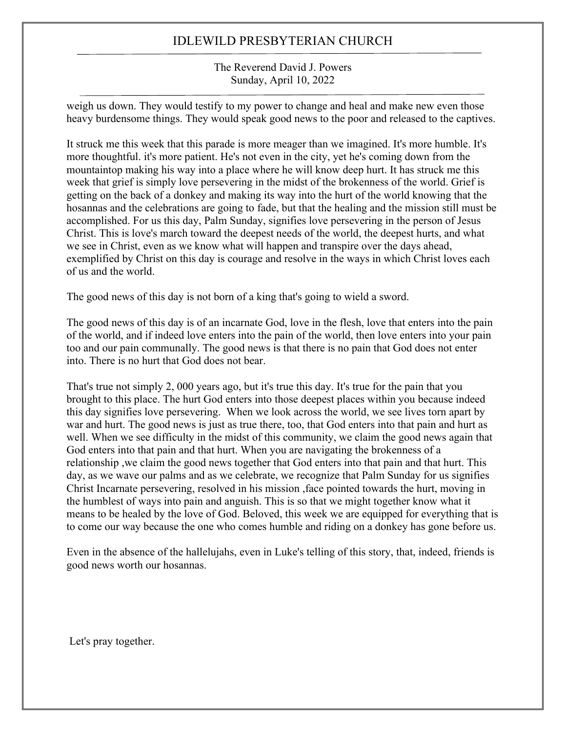The Reverend David J. Powers Sunday, April 10, 2022

weigh us down. They would testify to my power to change and heal and make new even those heavy burdensome things. They would speak good news to the poor and released to the captives.

It struck me this week that this parade is more meager than we imagined. It's more humble. It's more thoughtful. it's more patient. He's not even in the city, yet he's coming down from the mountaintop making his way into a place where he will know deep hurt. It has struck me this week that grief is simply love persevering in the midst of the brokenness of the world. Grief is getting on the back of a donkey and making its way into the hurt of the world knowing that the hosannas and the celebrations are going to fade, but that the healing and the mission still must be accomplished. For us this day, Palm Sunday, signifies love persevering in the person of Jesus Christ. This is love's march toward the deepest needs of the world, the deepest hurts, and what we see in Christ, even as we know what will happen and transpire over the days ahead, exemplified by Christ on this day is courage and resolve in the ways in which Christ loves each of us and the world.

The good news of this day is not born of a king that's going to wield a sword.

The good news of this day is of an incarnate God, love in the flesh, love that enters into the pain of the world, and if indeed love enters into the pain of the world, then love enters into your pain too and our pain communally. The good news is that there is no pain that God does not enter into. There is no hurt that God does not bear.

That's true not simply 2, 000 years ago, but it's true this day. It's true for the pain that you brought to this place. The hurt God enters into those deepest places within you because indeed this day signifies love persevering. When we look across the world, we see lives torn apart by war and hurt. The good news is just as true there, too, that God enters into that pain and hurt as well. When we see difficulty in the midst of this community, we claim the good news again that God enters into that pain and that hurt. When you are navigating the brokenness of a relationship ,we claim the good news together that God enters into that pain and that hurt. This day, as we wave our palms and as we celebrate, we recognize that Palm Sunday for us signifies Christ Incarnate persevering, resolved in his mission ,face pointed towards the hurt, moving in the humblest of ways into pain and anguish. This is so that we might together know what it means to be healed by the love of God. Beloved, this week we are equipped for everything that is to come our way because the one who comes humble and riding on a donkey has gone before us.

Even in the absence of the hallelujahs, even in Luke's telling of this story, that, indeed, friends is good news worth our hosannas.

Let's pray together.